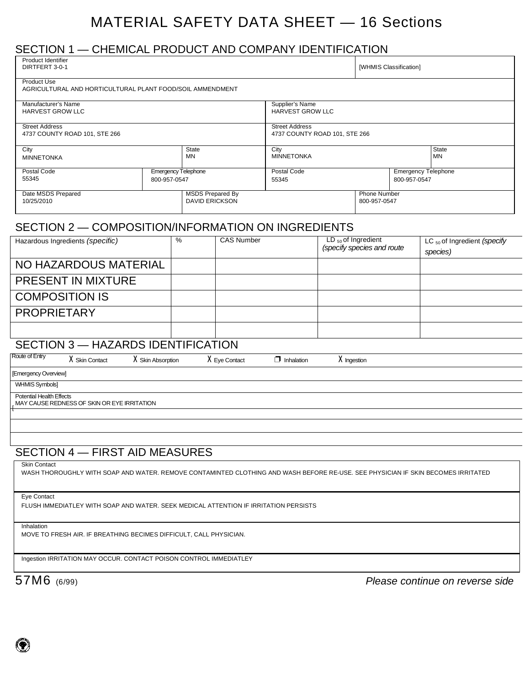# MATERIAL SAFETY DATA SHEET — 16 Sections

## SECTION 1 — CHEMICAL PRODUCT AND COMPANY IDENTIFICATION

| Product Identifier<br>DIRTFERT 3-0-1                                            |              |                            |                                                        |                                            |                         | [WHMIS Classification]              |              |                                                     |
|---------------------------------------------------------------------------------|--------------|----------------------------|--------------------------------------------------------|--------------------------------------------|-------------------------|-------------------------------------|--------------|-----------------------------------------------------|
| <b>Product Use</b><br>AGRICULTURAL AND HORTICULTURAL PLANT FOOD/SOIL AMMENDMENT |              |                            |                                                        |                                            |                         |                                     |              |                                                     |
| Manufacturer's Name<br><b>HARVEST GROW LLC</b>                                  |              |                            |                                                        | Supplier's Name<br><b>HARVEST GROW LLC</b> |                         |                                     |              |                                                     |
| <b>Street Address</b><br>4737 COUNTY ROAD 101, STE 266                          |              |                            | <b>Street Address</b><br>4737 COUNTY ROAD 101, STE 266 |                                            |                         |                                     |              |                                                     |
| City<br><b>MINNETONKA</b>                                                       |              | <b>State</b><br><b>MN</b>  |                                                        | City<br><b>MINNETONKA</b>                  |                         |                                     |              | <b>State</b><br><b>MN</b>                           |
| Postal Code<br>55345                                                            | 800-957-0547 | <b>Emergency Telephone</b> |                                                        | Postal Code<br>55345                       |                         |                                     | 800-957-0547 | <b>Emergency Telephone</b>                          |
| Date MSDS Prepared<br>10/25/2010                                                |              |                            | <b>MSDS Prepared By</b><br><b>DAVID ERICKSON</b>       |                                            |                         | <b>Phone Number</b><br>800-957-0547 |              |                                                     |
| SECTION 2 - COMPOSITION/INFORMATION ON INGREDIENTS                              |              |                            |                                                        |                                            |                         |                                     |              |                                                     |
| Hazardous Ingredients (specific)                                                |              | %                          | CAS Number                                             |                                            | $LD_{50}$ of Ingredient | (specify species and route          |              | LC <sub>50</sub> of Ingredient (specify<br>species) |
| NO HAZARDOUS MATERIAL                                                           |              |                            |                                                        |                                            |                         |                                     |              |                                                     |
| <b>PRESENT IN MIXTURE</b>                                                       |              |                            |                                                        |                                            |                         |                                     |              |                                                     |
| <b>COMPOSITION IS</b>                                                           |              |                            |                                                        |                                            |                         |                                     |              |                                                     |
| <b>PROPRIETARY</b>                                                              |              |                            |                                                        |                                            |                         |                                     |              |                                                     |
|                                                                                 |              |                            |                                                        |                                            |                         |                                     |              |                                                     |
| UAZADDO IDENTIEICATIONI<br><b>CECTION</b> 2                                     |              |                            |                                                        |                                            |                         |                                     |              |                                                     |

#### SECTION 3 — HAZARDS IDENTIFICATION

| Route of Entry |  |
|----------------|--|
|                |  |

#### X Skin Contact X Skin Absorption X Eye Contact □ Inhalation X Ingestion

[Emergency Overview]

WHMIS Symbols]

[

Potential Health Effects MAY CAUSE REDNESS OF SKIN OR EYE IRRITATION

## SECTION 4 — FIRST AID MEASURES

WASH THOROUGHLY WITH SOAP AND WATER. REMOVE CONTAMINTED CLOTHING AND WASH BEFORE RE-USE. SEE PHYSICIAN IF SKIN BECOMES IRRITATED

Eye Contact

FLUSH IMMEDIATLEY WITH SOAP AND WATER. SEEK MEDICAL ATTENTION IF IRRITATION PERSISTS

#### Inhalation

MOVE TO FRESH AIR. IF BREATHING BECIMES DIFFICULT, CALL PHYSICIAN.

Ingestion IRRITATION MAY OCCUR. CONTACT POISON CONTROL IMMEDIATLEY

57M6 (6/99) *Please continue on reverse side*

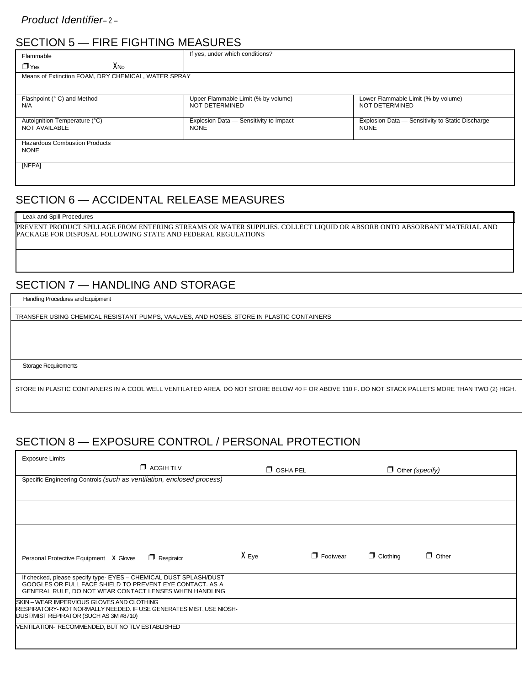# SECTION 5 — FIRE FIGHTING MEASURES

| Flammable                                             | If yes, under which conditions?                       |                                                                 |  |
|-------------------------------------------------------|-------------------------------------------------------|-----------------------------------------------------------------|--|
| Хмо<br>$\Box$ Yes                                     |                                                       |                                                                 |  |
| Means of Extinction FOAM, DRY CHEMICAL, WATER SPRAY   |                                                       |                                                                 |  |
|                                                       |                                                       |                                                                 |  |
| Flashpoint (° C) and Method<br>N/A                    | Upper Flammable Limit (% by volume)<br>NOT DETERMINED | Lower Flammable Limit (% by volume)<br>NOT DETERMINED           |  |
| Autoignition Temperature (°C)<br><b>NOT AVAILABLE</b> | Explosion Data - Sensitivity to Impact<br><b>NONE</b> | Explosion Data - Sensitivity to Static Discharge<br><b>NONE</b> |  |
| <b>Hazardous Combustion Products</b><br><b>NONE</b>   |                                                       |                                                                 |  |
| [NFPA]                                                |                                                       |                                                                 |  |

## SECTION 6 — ACCIDENTAL RELEASE MEASURES

#### Leak and Spill Procedures

PREVENT PRODUCT SPILLAGE FROM ENTERING STREAMS OR WATER SUPPLIES. COLLECT LIQUID OR ABSORB ONTO ABSORBANT MATERIAL AND PACKAGE FOR DISPOSAL FOLLOWING STATE AND FEDERAL REGULATIONS

## SECTION 7 — HANDLING AND STORAGE

Handling Procedures and Equipment

TRANSFER USING CHEMICAL RESISTANT PUMPS, VAALVES, AND HOSES. STORE IN PLASTIC CONTAINERS

Storage Requirements

STORE IN PLASTIC CONTAINERS IN A COOL WELL VENTILATED AREA. DO NOT STORE BELOW 40 F OR ABOVE 110 F. DO NOT STACK PALLETS MORE THAN TWO (2) HIGH.

# SECTION 8 — EXPOSURE CONTROL / PERSONAL PROTECTION

| <b>Exposure Limits</b>                                                                                                        |                 |                 |                        |              |
|-------------------------------------------------------------------------------------------------------------------------------|-----------------|-----------------|------------------------|--------------|
| $\Box$ ACGIH TLV                                                                                                              | $\Box$ OSHA PEL |                 | $\Box$ Other (specify) |              |
| Specific Engineering Controls (such as ventilation, enclosed process)                                                         |                 |                 |                        |              |
|                                                                                                                               |                 |                 |                        |              |
|                                                                                                                               |                 |                 |                        |              |
|                                                                                                                               |                 |                 |                        |              |
|                                                                                                                               |                 |                 |                        |              |
|                                                                                                                               |                 |                 |                        |              |
| $\Box$ Respirator<br>Personal Protective Equipment X Gloves                                                                   | X Eye           | $\Box$ Footwear | $\Box$ Clothing        | $\Box$ Other |
|                                                                                                                               |                 |                 |                        |              |
| If checked, please specify type- EYES - CHEMICAL DUST SPLASH/DUST<br>GOOGLES OR FULL FACE SHIELD TO PREVENT EYE CONTACT. AS A |                 |                 |                        |              |
| GENERAL RULE, DO NOT WEAR CONTACT LENSES WHEN HANDLING                                                                        |                 |                 |                        |              |
| SKIN - WEAR IMPERVIOUS GLOVES AND CLOTHING<br>RESPIRATORY- NOT NORMALLY NEEDED. IF USE GENERATES MIST, USE NIOSH-             |                 |                 |                        |              |
| DUST/MIST REPIRATOR (SUCH AS 3M #8710)                                                                                        |                 |                 |                        |              |
| VENTILATION- RECOMMENDED, BUT NO TLV ESTABLISHED                                                                              |                 |                 |                        |              |
|                                                                                                                               |                 |                 |                        |              |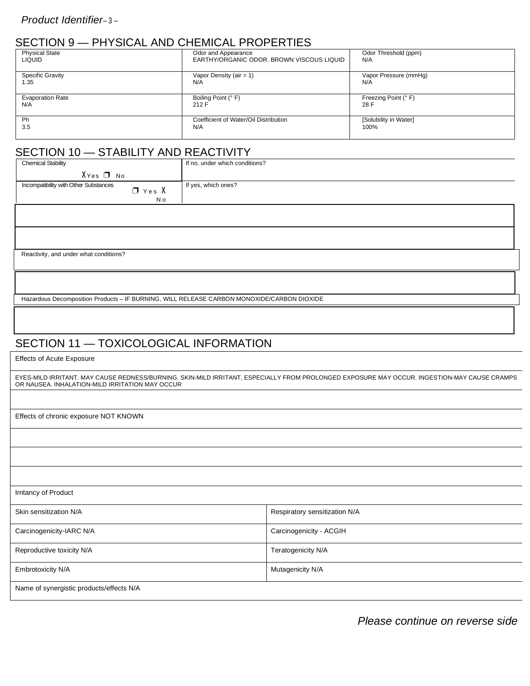## SECTION 9 — PHYSICAL AND CHEMICAL PROPERTIES

| <b>Physical State</b>   | Odor and Appearance                       | Odor Threshold (ppm)  |
|-------------------------|-------------------------------------------|-----------------------|
|                         |                                           |                       |
| <b>LIQUID</b>           | EARTHY/ORGANIC ODOR, BROWN VISCOUS LIQUID | N/A                   |
|                         |                                           |                       |
|                         |                                           |                       |
| Specific Gravity        | Vapor Density (air = $1$ )                | Vapor Pressure (mmHg) |
| 1.35                    | N/A                                       | N/A                   |
|                         |                                           |                       |
|                         |                                           |                       |
| <b>Evaporation Rate</b> | Boiling Point (° F)                       | Freezing Point (° F)  |
|                         |                                           |                       |
| N/A                     | 212 F                                     | 28 F                  |
|                         |                                           |                       |
| Ph                      | Coefficient of Water/Oil Distribution     | [Solubility in Water] |
|                         |                                           |                       |
| 3.5                     | N/A                                       | 100%                  |
|                         |                                           |                       |
|                         |                                           |                       |

# SECTION 10 - STABILITY AND REACTIVITY

| <b>Chemical Stability</b>                                      | If no, under which conditions? |
|----------------------------------------------------------------|--------------------------------|
| XYes □ No                                                      |                                |
| Incompatibility with Other Substances<br>$\Box$ Yes $X$<br>N o | If yes, which ones?            |
|                                                                |                                |

Reactivity, and under what conditions?

Hazardous Decomposition Products – IF BURNING, WILL RELEASE CARBON MONOXIDE/CARBON DIOXIDE

## SECTION 11 — TOXICOLOGICAL INFORMATION

Effects of Acute Exposure

EYES-MILD IRRITANT. MAY CAUSE REDNESS/BURNING. SKIN-MILD IRRITANT, ESPECIALLY FROM PROLONGED EXPOSURE MAY OCCUR. INGESTION-MAY CAUSE CRAMPS OR NAUSEA. INHALATION-MILD IRRITATION MAY OCCUR

Effects of chronic exposure NOT KNOWN

| Irritancy of Product                     |                               |
|------------------------------------------|-------------------------------|
| Skin sensitization N/A                   | Respiratory sensitization N/A |
| Carcinogenicity-IARC N/A                 | Carcinogenicity - ACGIH       |
| Reproductive toxicity N/A                | Teratogenicity N/A            |
| Embrotoxicity N/A                        | Mutagenicity N/A              |
| Name of synergistic products/effects N/A |                               |